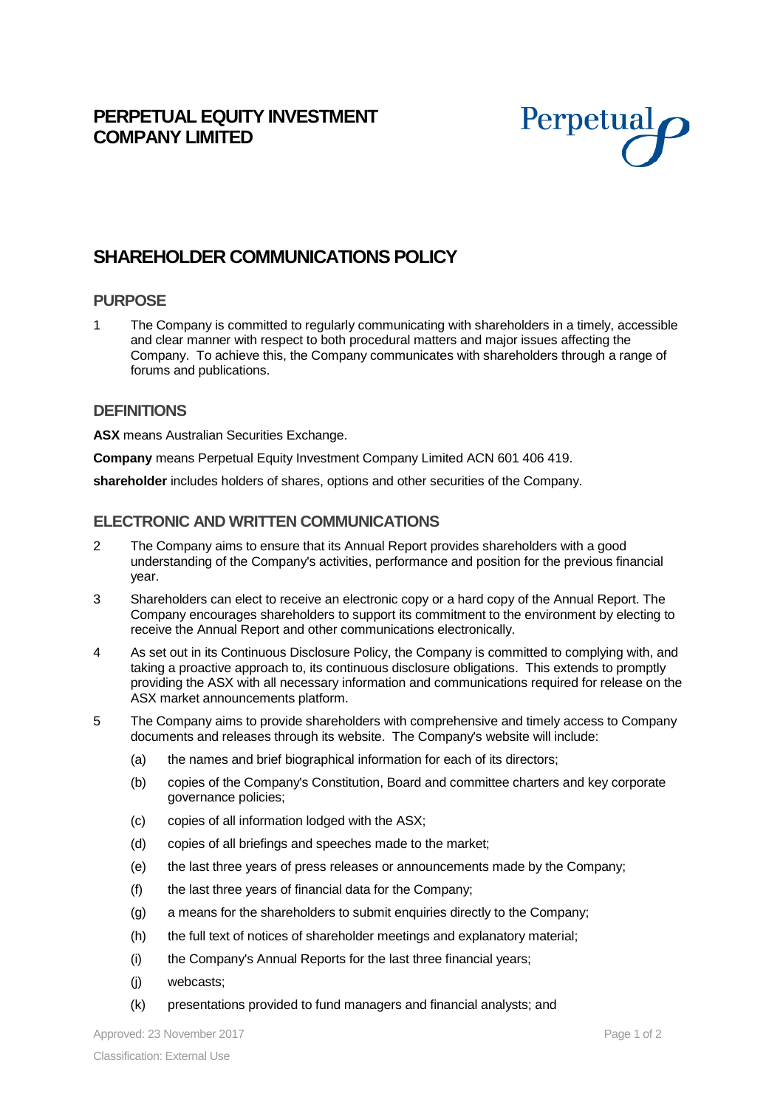## **PERPETUAL EQUITY INVESTMENT COMPANY LIMITED**



# **SHAREHOLDER COMMUNICATIONS POLICY**

#### **PURPOSE**

1 The Company is committed to regularly communicating with shareholders in a timely, accessible and clear manner with respect to both procedural matters and major issues affecting the Company. To achieve this, the Company communicates with shareholders through a range of forums and publications.

#### **DEFINITIONS**

**ASX** means Australian Securities Exchange.

**Company** means Perpetual Equity Investment Company Limited ACN 601 406 419.

**shareholder** includes holders of shares, options and other securities of the Company.

#### **ELECTRONIC AND WRITTEN COMMUNICATIONS**

- 2 The Company aims to ensure that its Annual Report provides shareholders with a good understanding of the Company's activities, performance and position for the previous financial year.
- 3 Shareholders can elect to receive an electronic copy or a hard copy of the Annual Report. The Company encourages shareholders to support its commitment to the environment by electing to receive the Annual Report and other communications electronically.
- 4 As set out in its Continuous Disclosure Policy, the Company is committed to complying with, and taking a proactive approach to, its continuous disclosure obligations. This extends to promptly providing the ASX with all necessary information and communications required for release on the ASX market announcements platform.
- 5 The Company aims to provide shareholders with comprehensive and timely access to Company documents and releases through its website. The Company's website will include:
	- (a) the names and brief biographical information for each of its directors;
	- (b) copies of the Company's Constitution, Board and committee charters and key corporate governance policies;
	- (c) copies of all information lodged with the ASX;
	- (d) copies of all briefings and speeches made to the market;
	- (e) the last three years of press releases or announcements made by the Company;
	- (f) the last three years of financial data for the Company;
	- (g) a means for the shareholders to submit enquiries directly to the Company;
	- (h) the full text of notices of shareholder meetings and explanatory material;
	- (i) the Company's Annual Reports for the last three financial years;
	- (j) webcasts;
	- (k) presentations provided to fund managers and financial analysts; and